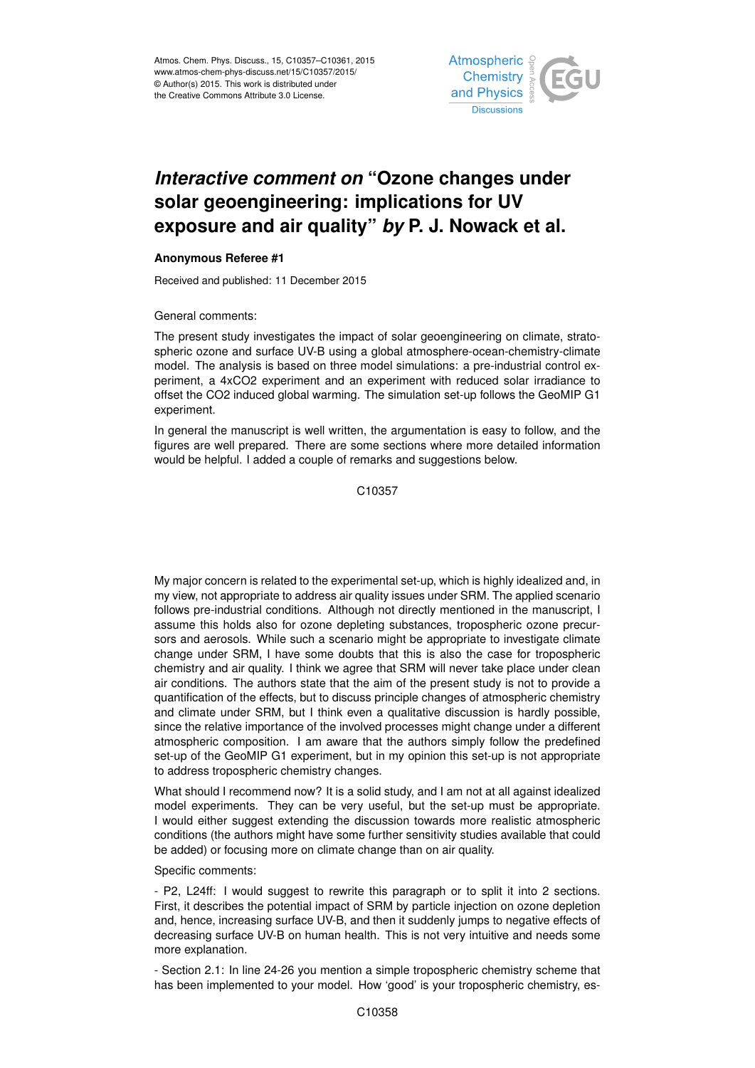

## *Interactive comment on* **"Ozone changes under solar geoengineering: implications for UV exposure and air quality"** *by* **P. J. Nowack et al.**

## **Anonymous Referee #1**

Received and published: 11 December 2015

General comments:

The present study investigates the impact of solar geoengineering on climate, stratospheric ozone and surface UV-B using a global atmosphere-ocean-chemistry-climate model. The analysis is based on three model simulations: a pre-industrial control experiment, a 4xCO2 experiment and an experiment with reduced solar irradiance to offset the CO2 induced global warming. The simulation set-up follows the GeoMIP G1 experiment.

In general the manuscript is well written, the argumentation is easy to follow, and the figures are well prepared. There are some sections where more detailed information would be helpful. I added a couple of remarks and suggestions below.

C<sub>10357</sub>

My major concern is related to the experimental set-up, which is highly idealized and, in my view, not appropriate to address air quality issues under SRM. The applied scenario follows pre-industrial conditions. Although not directly mentioned in the manuscript, I assume this holds also for ozone depleting substances, tropospheric ozone precursors and aerosols. While such a scenario might be appropriate to investigate climate change under SRM, I have some doubts that this is also the case for tropospheric chemistry and air quality. I think we agree that SRM will never take place under clean air conditions. The authors state that the aim of the present study is not to provide a quantification of the effects, but to discuss principle changes of atmospheric chemistry and climate under SRM, but I think even a qualitative discussion is hardly possible, since the relative importance of the involved processes might change under a different atmospheric composition. I am aware that the authors simply follow the predefined set-up of the GeoMIP G1 experiment, but in my opinion this set-up is not appropriate to address tropospheric chemistry changes.

What should I recommend now? It is a solid study, and I am not at all against idealized model experiments. They can be very useful, but the set-up must be appropriate. I would either suggest extending the discussion towards more realistic atmospheric conditions (the authors might have some further sensitivity studies available that could be added) or focusing more on climate change than on air quality.

Specific comments:

- P2, L24ff: I would suggest to rewrite this paragraph or to split it into 2 sections. First, it describes the potential impact of SRM by particle injection on ozone depletion and, hence, increasing surface UV-B, and then it suddenly jumps to negative effects of decreasing surface UV-B on human health. This is not very intuitive and needs some more explanation.

- Section 2.1: In line 24-26 you mention a simple tropospheric chemistry scheme that has been implemented to your model. How 'good' is your tropospheric chemistry, es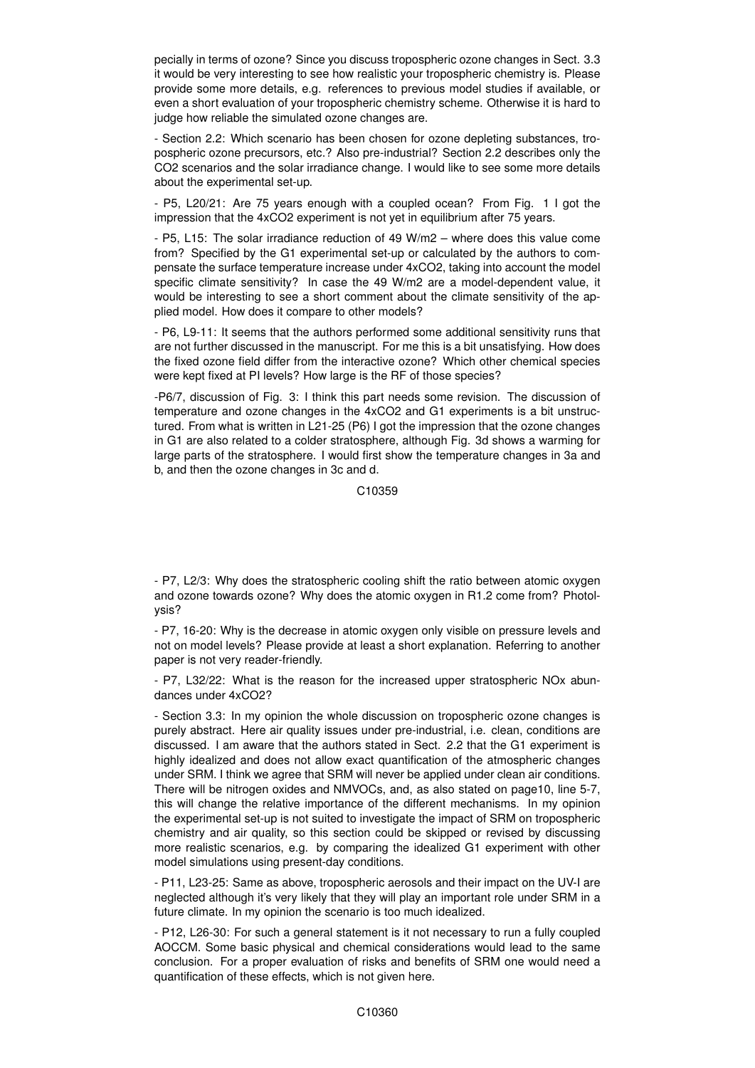pecially in terms of ozone? Since you discuss tropospheric ozone changes in Sect. 3.3 it would be very interesting to see how realistic your tropospheric chemistry is. Please provide some more details, e.g. references to previous model studies if available, or even a short evaluation of your tropospheric chemistry scheme. Otherwise it is hard to judge how reliable the simulated ozone changes are.

- Section 2.2: Which scenario has been chosen for ozone depleting substances, tropospheric ozone precursors, etc.? Also pre-industrial? Section 2.2 describes only the CO2 scenarios and the solar irradiance change. I would like to see some more details about the experimental set-up.

- P5, L20/21: Are 75 years enough with a coupled ocean? From Fig. 1 I got the impression that the 4xCO2 experiment is not yet in equilibrium after 75 years.

- P5, L15: The solar irradiance reduction of 49 W/m2 – where does this value come from? Specified by the G1 experimental set-up or calculated by the authors to compensate the surface temperature increase under 4xCO2, taking into account the model specific climate sensitivity? In case the 49 W/m2 are a model-dependent value, it would be interesting to see a short comment about the climate sensitivity of the applied model. How does it compare to other models?

- P6, L9-11: It seems that the authors performed some additional sensitivity runs that are not further discussed in the manuscript. For me this is a bit unsatisfying. How does the fixed ozone field differ from the interactive ozone? Which other chemical species were kept fixed at PI levels? How large is the RF of those species?

-P6/7, discussion of Fig. 3: I think this part needs some revision. The discussion of temperature and ozone changes in the 4xCO2 and G1 experiments is a bit unstructured. From what is written in L21-25 (P6) I got the impression that the ozone changes in G1 are also related to a colder stratosphere, although Fig. 3d shows a warming for large parts of the stratosphere. I would first show the temperature changes in 3a and b, and then the ozone changes in 3c and d.

C10359

- P7, 16-20: Why is the decrease in atomic oxygen only visible on pressure levels and not on model levels? Please provide at least a short explanation. Referring to another paper is not very reader-friendly.

- P7, L32/22: What is the reason for the increased upper stratospheric NOx abundances under 4xCO2?

- Section 3.3: In my opinion the whole discussion on tropospheric ozone changes is purely abstract. Here air quality issues under pre-industrial, i.e. clean, conditions are discussed. I am aware that the authors stated in Sect. 2.2 that the G1 experiment is highly idealized and does not allow exact quantification of the atmospheric changes under SRM. I think we agree that SRM will never be applied under clean air conditions. There will be nitrogen oxides and NMVOCs, and, as also stated on page10, line 5-7, this will change the relative importance of the different mechanisms. In my opinion the experimental set-up is not suited to investigate the impact of SRM on tropospheric chemistry and air quality, so this section could be skipped or revised by discussing more realistic scenarios, e.g. by comparing the idealized G1 experiment with other model simulations using present-day conditions.

- P11, L23-25: Same as above, tropospheric aerosols and their impact on the UV-I are neglected although it's very likely that they will play an important role under SRM in a future climate. In my opinion the scenario is too much idealized.

- P12, L26-30: For such a general statement is it not necessary to run a fully coupled AOCCM. Some basic physical and chemical considerations would lead to the same conclusion. For a proper evaluation of risks and benefits of SRM one would need a quantification of these effects, which is not given here.

<sup>-</sup> P7, L2/3: Why does the stratospheric cooling shift the ratio between atomic oxygen and ozone towards ozone? Why does the atomic oxygen in R1.2 come from? Photolysis?